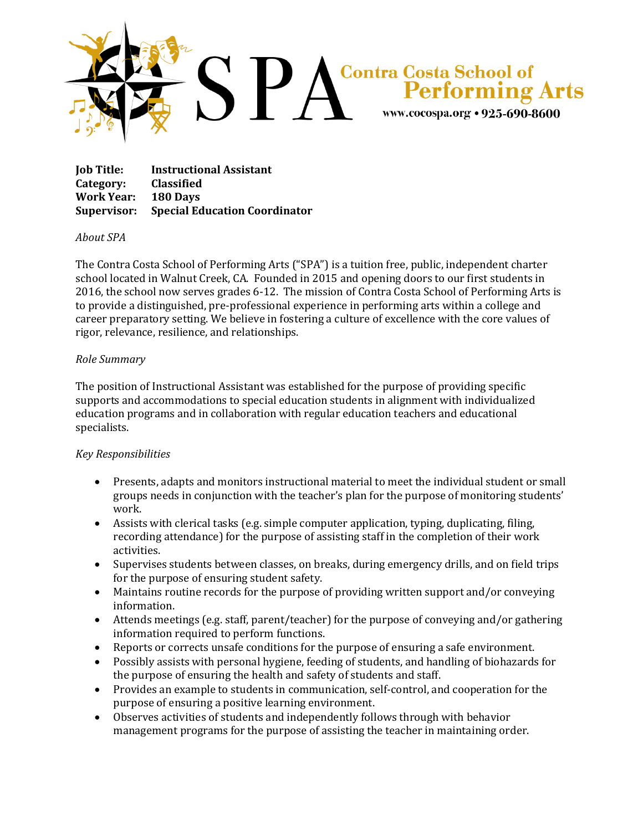

| <b>Job Title:</b> | <b>Instructional Assistant</b>                   |
|-------------------|--------------------------------------------------|
| Category:         | <b>Classified</b>                                |
| Work Year:        | 180 Davs                                         |
|                   | <b>Supervisor:</b> Special Education Coordinator |

## *About SPA*

The Contra Costa School of Performing Arts ("SPA") is a tuition free, public, independent charter school located in Walnut Creek, CA. Founded in 2015 and opening doors to our first students in 2016, the school now serves grades 6-12. The mission of Contra Costa School of Performing Arts is to provide a distinguished, pre-professional experience in performing arts within a college and career preparatory setting. We believe in fostering a culture of excellence with the core values of rigor, relevance, resilience, and relationships.

## *Role Summary*

The position of Instructional Assistant was established for the purpose of providing specific supports and accommodations to special education students in alignment with individualized education programs and in collaboration with regular education teachers and educational specialists.

## *Key Responsibilities*

- Presents, adapts and monitors instructional material to meet the individual student or small groups needs in conjunction with the teacher's plan for the purpose of monitoring students' work.
- Assists with clerical tasks (e.g. simple computer application, typing, duplicating, filing, recording attendance) for the purpose of assisting staff in the completion of their work activities.
- Supervises students between classes, on breaks, during emergency drills, and on field trips for the purpose of ensuring student safety.
- Maintains routine records for the purpose of providing written support and/or conveying information.
- Attends meetings (e.g. staff, parent/teacher) for the purpose of conveying and/or gathering information required to perform functions.
- Reports or corrects unsafe conditions for the purpose of ensuring a safe environment.
- Possibly assists with personal hygiene, feeding of students, and handling of biohazards for the purpose of ensuring the health and safety of students and staff.
- Provides an example to students in communication, self-control, and cooperation for the purpose of ensuring a positive learning environment.
- Observes activities of students and independently follows through with behavior management programs for the purpose of assisting the teacher in maintaining order.